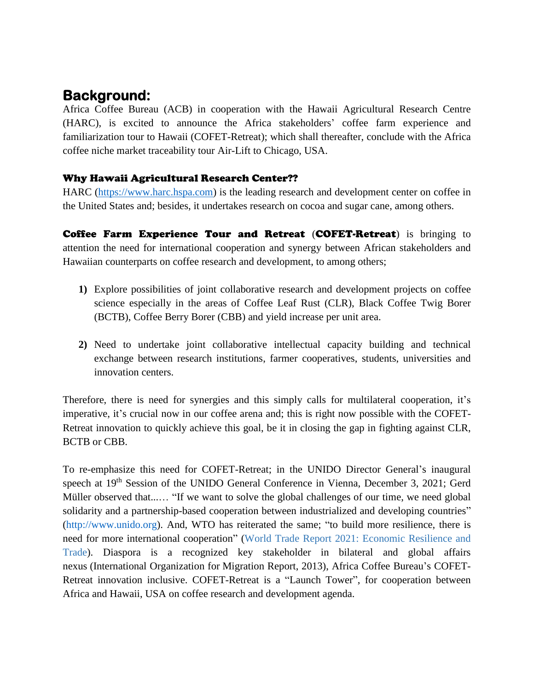## **Background:**

Africa Coffee Bureau (ACB) in cooperation with the Hawaii Agricultural Research Centre (HARC), is excited to announce the Africa stakeholders' coffee farm experience and familiarization tour to Hawaii (COFET-Retreat); which shall thereafter, conclude with the Africa coffee niche market traceability tour Air-Lift to Chicago, USA.

## Why Hawaii Agricultural Research Center??

HARC [\(https://www.harc.hspa.com\)](https://www.harc.hspa.com/) is the leading research and development center on coffee in the United States and; besides, it undertakes research on cocoa and sugar cane, among others.

Coffee Farm Experience Tour and Retreat (COFET-Retreat) is bringing to attention the need for international cooperation and synergy between African stakeholders and Hawaiian counterparts on coffee research and development, to among others;

- **1)** Explore possibilities of joint collaborative research and development projects on coffee science especially in the areas of Coffee Leaf Rust (CLR), Black Coffee Twig Borer (BCTB), Coffee Berry Borer (CBB) and yield increase per unit area.
- **2)** Need to undertake joint collaborative intellectual capacity building and technical exchange between research institutions, farmer cooperatives, students, universities and innovation centers.

Therefore, there is need for synergies and this simply calls for multilateral cooperation, it's imperative, it's crucial now in our coffee arena and; this is right now possible with the COFET-Retreat innovation to quickly achieve this goal, be it in closing the gap in fighting against CLR, BCTB or CBB.

To re-emphasize this need for COFET-Retreat; in the UNIDO Director General's inaugural speech at 19<sup>th</sup> Session of the UNIDO General Conference in Vienna, December 3, 2021; Gerd Müller observed that...… "If we want to solve the global challenges of our time, we need global solidarity and a partnership-based cooperation between industrialized and developing countries" [\(http://www.unido.org\)](http://www.unido.org/). And, WTO has reiterated the same; "to build more resilience, there is need for more international cooperation" (World Trade Report 2021: Economic Resilience and Trade). Diaspora is a recognized key stakeholder in bilateral and global affairs nexus (International Organization for Migration Report, 2013), Africa Coffee Bureau's COFET-Retreat innovation inclusive. COFET-Retreat is a "Launch Tower", for cooperation between Africa and Hawaii, USA on coffee research and development agenda.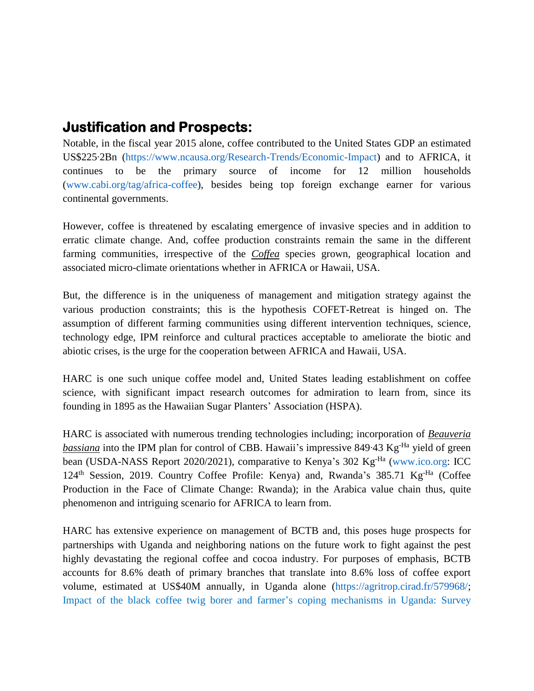## **Justification and Prospects:**

Notable, in the fiscal year 2015 alone, coffee contributed to the United States GDP an estimated US\$225‧2Bn [\(https://www.ncausa.org/Research-Trends/Economic-Impact\)](https://www.ncausa.org/Research-Trends/Economic-Impact) and to AFRICA, it continues to be the primary source of income for 12 million households [\(www.cabi.org/tag/africa-coffee\)](http://www.cabi.org/tag/africa-coffee), besides being top foreign exchange earner for various continental governments.

However, coffee is threatened by escalating emergence of invasive species and in addition to erratic climate change. And, coffee production constraints remain the same in the different farming communities, irrespective of the *Coffea* species grown, geographical location and associated micro-climate orientations whether in AFRICA or Hawaii, USA.

But, the difference is in the uniqueness of management and mitigation strategy against the various production constraints; this is the hypothesis COFET-Retreat is hinged on. The assumption of different farming communities using different intervention techniques, science, technology edge, IPM reinforce and cultural practices acceptable to ameliorate the biotic and abiotic crises, is the urge for the cooperation between AFRICA and Hawaii, USA.

HARC is one such unique coffee model and, United States leading establishment on coffee science, with significant impact research outcomes for admiration to learn from, since its founding in 1895 as the Hawaiian Sugar Planters' Association (HSPA).

HARC is associated with numerous trending technologies including; incorporation of *Beauveria* bassiana into the IPM plan for control of CBB. Hawaii's impressive 849.43 Kg<sup>-Ha</sup> yield of green bean (USDA-NASS Report 2020/2021), comparative to Kenya's 302 Kg<sup>-Ha</sup> [\(www.ico.org:](http://www.ico.org/) ICC 124<sup>th</sup> Session, 2019. Country Coffee Profile: Kenya) and, Rwanda's 385.71 Kg<sup>-Ha</sup> (Coffee Production in the Face of Climate Change: Rwanda); in the Arabica value chain thus, quite phenomenon and intriguing scenario for AFRICA to learn from.

HARC has extensive experience on management of BCTB and, this poses huge prospects for partnerships with Uganda and neighboring nations on the future work to fight against the pest highly devastating the regional coffee and cocoa industry. For purposes of emphasis, BCTB accounts for 8.6% death of primary branches that translate into 8.6% loss of coffee export volume, estimated at US\$40M annually, in Uganda alone [\(https://agritrop.cirad.fr/579968/;](https://agritrop.cirad.fr/579968/) Impact of the black coffee twig borer and farmer's coping mechanisms in Uganda: Survey